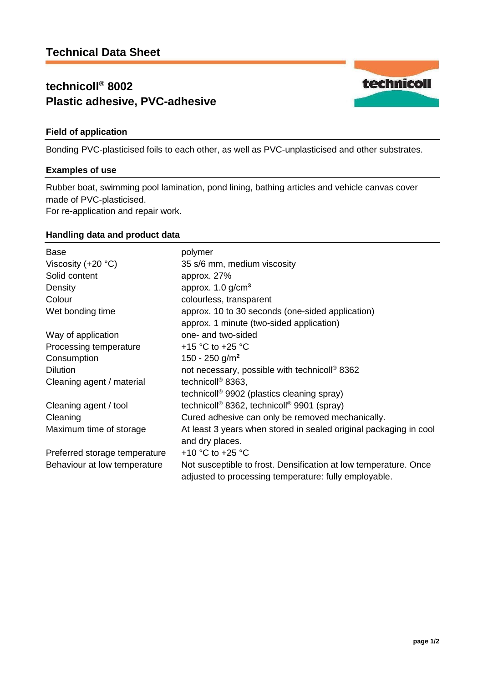# **technicoll® 8002 Plastic adhesive, PVC-adhesive**

## **Field of application**

Bonding PVC-plasticised foils to each other, as well as PVC-unplasticised and other substrates.

### **Examples of use**

Rubber boat, swimming pool lamination, pond lining, bathing articles and vehicle canvas cover made of PVC-plasticised.

For re-application and repair work.

### **Handling data and product data**

| Base                          | polymer                                                                                                                   |
|-------------------------------|---------------------------------------------------------------------------------------------------------------------------|
| Viscosity $(+20 °C)$          | 35 s/6 mm, medium viscosity                                                                                               |
| Solid content                 | approx. 27%                                                                                                               |
| Density                       | approx. $1.0$ g/cm <sup>3</sup>                                                                                           |
| Colour                        | colourless, transparent                                                                                                   |
| Wet bonding time              | approx. 10 to 30 seconds (one-sided application)                                                                          |
|                               | approx. 1 minute (two-sided application)                                                                                  |
| Way of application            | one- and two-sided                                                                                                        |
| Processing temperature        | +15 °C to +25 °C                                                                                                          |
| Consumption                   | 150 - 250 g/m <sup>2</sup>                                                                                                |
| <b>Dilution</b>               | not necessary, possible with technicoll <sup>®</sup> 8362                                                                 |
| Cleaning agent / material     | technicoll <sup>®</sup> 8363,                                                                                             |
|                               | technicoll <sup>®</sup> 9902 (plastics cleaning spray)                                                                    |
| Cleaning agent / tool         | technicoll <sup>®</sup> 8362, technicoll <sup>®</sup> 9901 (spray)                                                        |
| Cleaning                      | Cured adhesive can only be removed mechanically.                                                                          |
| Maximum time of storage       | At least 3 years when stored in sealed original packaging in cool                                                         |
|                               | and dry places.                                                                                                           |
| Preferred storage temperature | +10 $^{\circ}$ C to +25 $^{\circ}$ C                                                                                      |
| Behaviour at low temperature  | Not susceptible to frost. Densification at low temperature. Once<br>adjusted to processing temperature: fully employable. |

technicoll